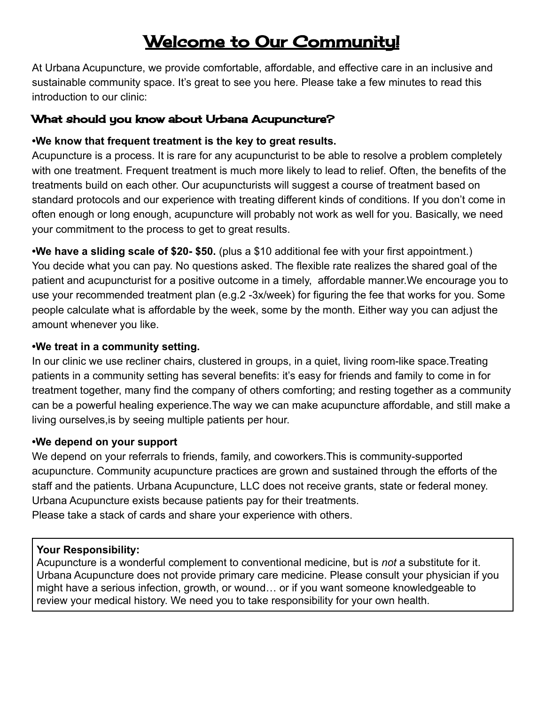# Welcome to Our Community!

At Urbana Acupuncture, we provide comfortable, affordable, and effective care in an inclusive and sustainable community space. It's great to see you here. Please take a few minutes to read this introduction to our clinic:

# What should you know about Urbana Acupuncture?

## **•We know that frequent treatment is the key to great results.**

Acupuncture is a process. It is rare for any acupuncturist to be able to resolve a problem completely with one treatment. Frequent treatment is much more likely to lead to relief. Often, the benefits of the treatments build on each other. Our acupuncturists will suggest a course of treatment based on standard protocols and our experience with treating different kinds of conditions. If you don't come in often enough or long enough, acupuncture will probably not work as well for you. Basically, we need your commitment to the process to get to great results.

**•We have a sliding scale of \$20- \$50.** (plus a \$10 additional fee with your first appointment.) You decide what you can pay. No questions asked. The flexible rate realizes the shared goal of the patient and acupuncturist for a positive outcome in a timely, affordable manner.We encourage you to use your recommended treatment plan (e.g.2 -3x/week) for figuring the fee that works for you. Some people calculate what is affordable by the week, some by the month. Either way you can adjust the amount whenever you like.

## **•We treat in a community setting.**

In our clinic we use recliner chairs, clustered in groups, in a quiet, living room-like space.Treating patients in a community setting has several benefits: it's easy for friends and family to come in for treatment together, many find the company of others comforting; and resting together as a community can be a powerful healing experience.The way we can make acupuncture affordable, and still make a living ourselves,is by seeing multiple patients per hour.

## **•We depend on your support**

We depend on your referrals to friends, family, and coworkers.This is community-supported acupuncture. Community acupuncture practices are grown and sustained through the efforts of the staff and the patients. Urbana Acupuncture, LLC does not receive grants, state or federal money. Urbana Acupuncture exists because patients pay for their treatments. Please take a stack of cards and share your experience with others.

## **Your Responsibility:**

Acupuncture is a wonderful complement to conventional medicine, but is *not* a substitute for it. Urbana Acupuncture does not provide primary care medicine. Please consult your physician if you might have a serious infection, growth, or wound… or if you want someone knowledgeable to review your medical history. We need you to take responsibility for your own health.